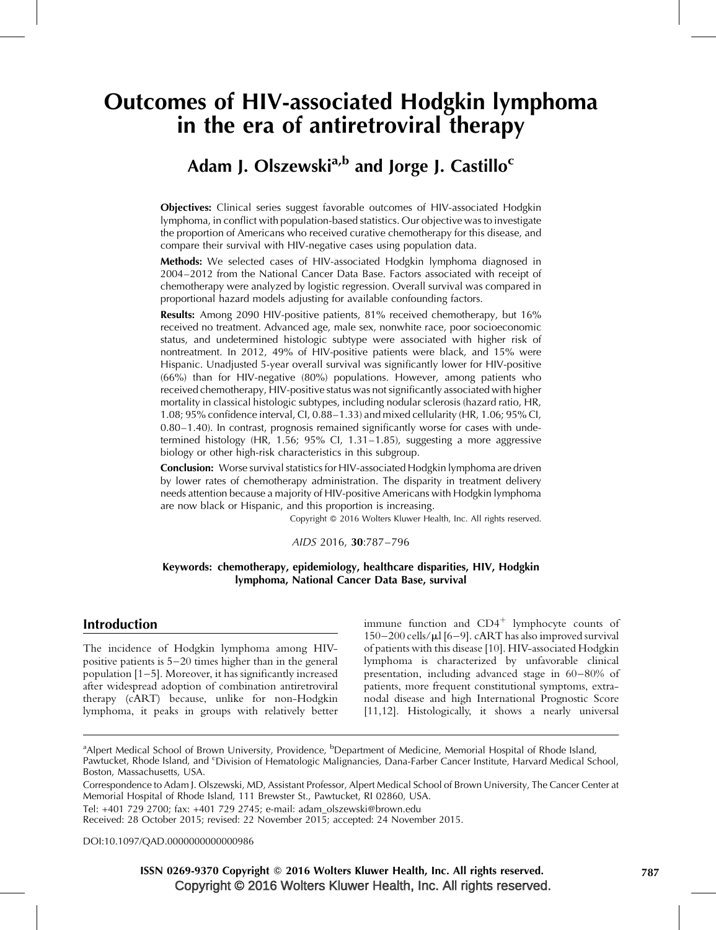# Outcomes of HIV-associated Hodgkin lymphoma in the era of antiretroviral therapy

## Adam J. Olszewski<sup>a,b</sup> and Jorge J. Castillo<sup>c</sup>

**Objectives:** Clinical series suggest favorable outcomes of HIV-associated Hodgkin lymphoma, in conflict with population-based statistics. Our objective was to investigate the proportion of Americans who received curative chemotherapy for this disease, and compare their survival with HIV-negative cases using population data.

Methods: We selected cases of HIV-associated Hodgkin lymphoma diagnosed in 2004–2012 from the National Cancer Data Base. Factors associated with receipt of chemotherapy were analyzed by logistic regression. Overall survival was compared in proportional hazard models adjusting for available confounding factors.

Results: Among 2090 HIV-positive patients, 81% received chemotherapy, but 16% received no treatment. Advanced age, male sex, nonwhite race, poor socioeconomic status, and undetermined histologic subtype were associated with higher risk of nontreatment. In 2012, 49% of HIV-positive patients were black, and 15% were Hispanic. Unadjusted 5-year overall survival was significantly lower for HIV-positive (66%) than for HIV-negative (80%) populations. However, among patients who received chemotherapy, HIV-positive status was not significantly associated with higher mortality in classical histologic subtypes, including nodular sclerosis (hazard ratio, HR, 1.08; 95% confidence interval, CI, 0.88–1.33) and mixed cellularity (HR, 1.06; 95% CI, 0.80–1.40). In contrast, prognosis remained significantly worse for cases with undetermined histology (HR, 1.56; 95% CI, 1.31–1.85), suggesting a more aggressive biology or other high-risk characteristics in this subgroup.

Conclusion: Worse survival statistics for HIV-associated Hodgkin lymphoma are driven by lower rates of chemotherapy administration. The disparity in treatment delivery needs attention because a majority of HIV-positive Americans with Hodgkin lymphoma are now black or Hispanic, and this proportion is increasing.

Copyright © 2016 Wolters Kluwer Health, Inc. All rights reserved.

#### AIDS 2016, 30:787–796

#### Keywords: chemotherapy, epidemiology, healthcare disparities, HIV, Hodgkin lymphoma, National Cancer Data Base, survival

## Introduction

The incidence of Hodgkin lymphoma among HIVpositive patients is 5–20 times higher than in the general population [\[1–5\]](#page-8-0). Moreover, it has significantly increased after widespread adoption of combination antiretroviral therapy (cART) because, unlike for non-Hodgkin lymphoma, it peaks in groups with relatively better

immune function and  $CD4^+$  lymphocyte counts of  $150-200$  cells/ $\mu$ l [\[6–9\]](#page-8-0). cART has also improved survival of patients with this disease [\[10\].](#page-8-0) HIV-associated Hodgkin lymphoma is characterized by unfavorable clinical presentation, including advanced stage in 60–80% of patients, more frequent constitutional symptoms, extranodal disease and high International Prognostic Score [\[11,12\]](#page-8-0). Histologically, it shows a nearly universal

Pawtucket, Rhode Island, and <sup>c</sup>Division of Hematologic Malignancies, Dana-Farber Cancer Institute, Harvard Medical School, Boston, Massachusetts, USA.

Correspondence to Adam J. Olszewski, MD, Assistant Professor, Alpert Medical School of Brown University, The Cancer Center at Memorial Hospital of Rhode Island, 111 Brewster St., Pawtucket, RI 02860, USA.

Tel: +401 729 2700; fax: +401 729 2745; e-mail: [adam\\_olszewski@brown.edu](mailto:adam_olszewski@brown.edu)

Received: 28 October 2015; revised: 22 November 2015; accepted: 24 November 2015.

DOI[:10.1097/QAD.0000000000000986](http://dx.doi.org/10.1097/QAD.0000000000000986)

 Copyright © 2016 Wolters Kluwer Health, Inc. All rights reserved. ISSN 0269-9370 Copyright © 2016 Wolters Kluwer Health, Inc. All rights reserved. 787

<sup>&</sup>lt;sup>a</sup>Alpert Medical School of Brown University, Providence, <sup>b</sup>Department of Medicine, Memorial Hospital of Rhode Island,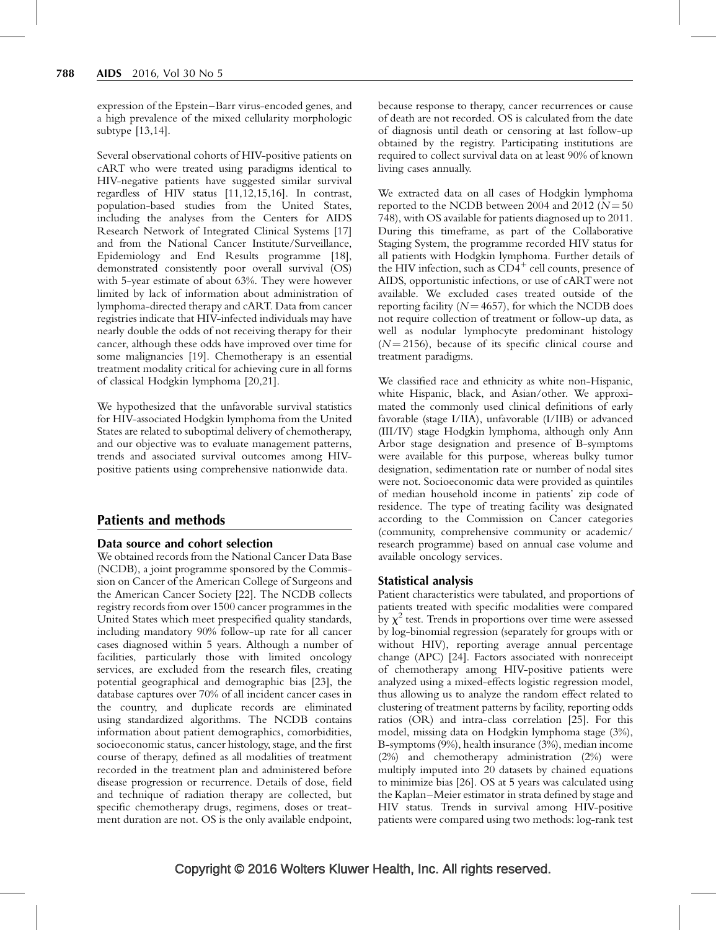expression of the Epstein–Barr virus-encoded genes, and a high prevalence of the mixed cellularity morphologic subtype [\[13,14\]](#page-8-0).

Several observational cohorts of HIV-positive patients on cART who were treated using paradigms identical to HIV-negative patients have suggested similar survival regardless of HIV status [\[11,12,15,16\].](#page-8-0) In contrast, population-based studies from the United States, including the analyses from the Centers for AIDS Research Network of Integrated Clinical Systems [\[17\]](#page-8-0) and from the National Cancer Institute/Surveillance, Epidemiology and End Results programme [\[18\]](#page-8-0), demonstrated consistently poor overall survival (OS) with 5-year estimate of about 63%. They were however limited by lack of information about administration of lymphoma-directed therapy and cART. Data from cancer registries indicate that HIV-infected individuals may have nearly double the odds of not receiving therapy for their cancer, although these odds have improved over time for some malignancies [\[19\].](#page-8-0) Chemotherapy is an essential treatment modality critical for achieving cure in all forms of classical Hodgkin lymphoma [\[20,21\]](#page-8-0).

We hypothesized that the unfavorable survival statistics for HIV-associated Hodgkin lymphoma from the United States are related to suboptimal delivery of chemotherapy, and our objective was to evaluate management patterns, trends and associated survival outcomes among HIVpositive patients using comprehensive nationwide data.

## Patients and methods

## Data source and cohort selection

We obtained records from the National Cancer Data Base (NCDB), a joint programme sponsored by the Commission on Cancer of the American College of Surgeons and the American Cancer Society [\[22\].](#page-8-0) The NCDB collects registry records from over 1500 cancer programmes in the United States which meet prespecified quality standards, including mandatory 90% follow-up rate for all cancer cases diagnosed within 5 years. Although a number of facilities, particularly those with limited oncology services, are excluded from the research files, creating potential geographical and demographic bias [\[23\]](#page-8-0), the database captures over 70% of all incident cancer cases in the country, and duplicate records are eliminated using standardized algorithms. The NCDB contains information about patient demographics, comorbidities, socioeconomic status, cancer histology, stage, and the first course of therapy, defined as all modalities of treatment recorded in the treatment plan and administered before disease progression or recurrence. Details of dose, field and technique of radiation therapy are collected, but specific chemotherapy drugs, regimens, doses or treatment duration are not. OS is the only available endpoint, because response to therapy, cancer recurrences or cause of death are not recorded. OS is calculated from the date of diagnosis until death or censoring at last follow-up obtained by the registry. Participating institutions are required to collect survival data on at least 90% of known living cases annually.

We extracted data on all cases of Hodgkin lymphoma reported to the NCDB between 2004 and 2012 ( $N = 50$ ) 748), with OS available for patients diagnosed up to 2011. During this timeframe, as part of the Collaborative Staging System, the programme recorded HIV status for all patients with Hodgkin lymphoma. Further details of the HIV infection, such as  $CD4^+$  cell counts, presence of AIDS, opportunistic infections, or use of cARTwere not available. We excluded cases treated outside of the reporting facility ( $N = 4657$ ), for which the NCDB does not require collection of treatment or follow-up data, as well as nodular lymphocyte predominant histology  $(N = 2156)$ , because of its specific clinical course and treatment paradigms.

We classified race and ethnicity as white non-Hispanic, white Hispanic, black, and Asian/other. We approximated the commonly used clinical definitions of early favorable (stage I/IIA), unfavorable (I/IIB) or advanced (III/IV) stage Hodgkin lymphoma, although only Ann Arbor stage designation and presence of B-symptoms were available for this purpose, whereas bulky tumor designation, sedimentation rate or number of nodal sites were not. Socioeconomic data were provided as quintiles of median household income in patients' zip code of residence. The type of treating facility was designated according to the Commission on Cancer categories (community, comprehensive community or academic/ research programme) based on annual case volume and available oncology services.

## Statistical analysis

Patient characteristics were tabulated, and proportions of patients treated with specific modalities were compared by  $\chi^2$  test. Trends in proportions over time were assessed by log-binomial regression (separately for groups with or without HIV), reporting average annual percentage change (APC) [\[24\].](#page-8-0) Factors associated with nonreceipt of chemotherapy among HIV-positive patients were analyzed using a mixed-effects logistic regression model, thus allowing us to analyze the random effect related to clustering of treatment patterns by facility, reporting odds ratios (OR) and intra-class correlation [\[25\].](#page-8-0) For this model, missing data on Hodgkin lymphoma stage (3%), B-symptoms (9%), health insurance (3%), median income (2%) and chemotherapy administration (2%) were multiply imputed into 20 datasets by chained equations to minimize bias [\[26\].](#page-9-0) OS at 5 years was calculated using the Kaplan–Meier estimator in strata defined by stage and HIV status. Trends in survival among HIV-positive patients were compared using two methods: log-rank test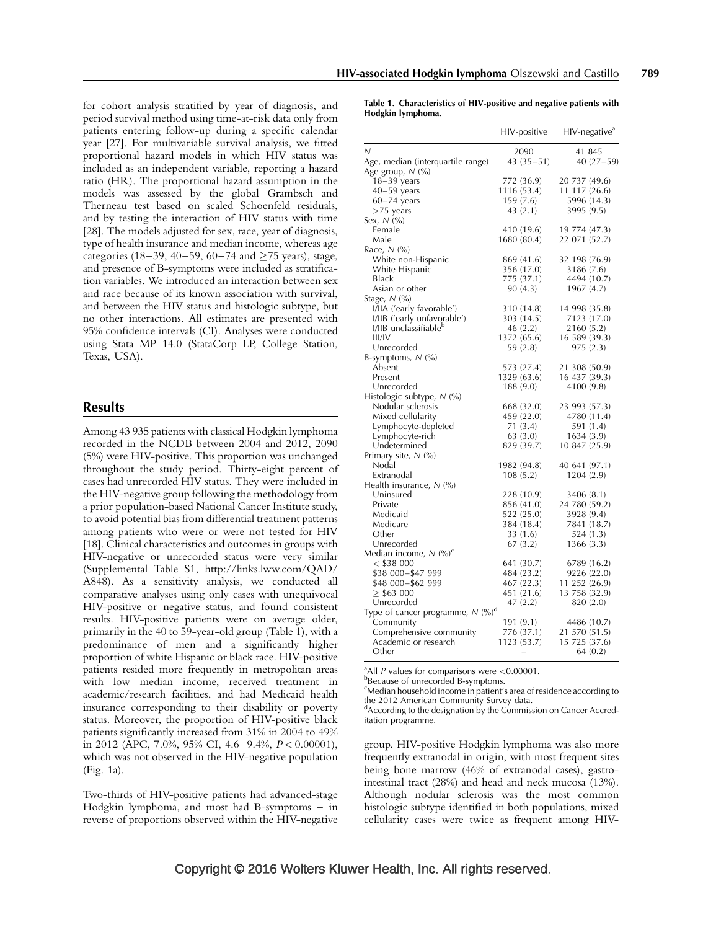for cohort analysis stratified by year of diagnosis, and period survival method using time-at-risk data only from patients entering follow-up during a specific calendar year [\[27\].](#page-9-0) For multivariable survival analysis, we fitted proportional hazard models in which HIV status was included as an independent variable, reporting a hazard ratio (HR). The proportional hazard assumption in the models was assessed by the global Grambsch and Therneau test based on scaled Schoenfeld residuals, and by testing the interaction of HIV status with time [\[28\]](#page-9-0). The models adjusted for sex, race, year of diagnosis, type of health insurance and median income, whereas age categories (18–39, 40–59, 60–74 and  $\geq$ 75 years), stage, and presence of B-symptoms were included as stratification variables. We introduced an interaction between sex and race because of its known association with survival, and between the HIV status and histologic subtype, but no other interactions. All estimates are presented with 95% confidence intervals (CI). Analyses were conducted using Stata MP 14.0 (StataCorp LP, College Station, Texas, USA).

#### Results

Among 43 935 patients with classical Hodgkin lymphoma recorded in the NCDB between 2004 and 2012, 2090 (5%) were HIV-positive. This proportion was unchanged throughout the study period. Thirty-eight percent of cases had unrecorded HIV status. They were included in the HIV-negative group following the methodology from a prior population-based National Cancer Institute study, to avoid potential bias from differential treatment patterns among patients who were or were not tested for HIV [\[18\]](#page-8-0). Clinical characteristics and outcomes in groups with HIV-negative or unrecorded status were very similar (Supplemental Table S1, [http://links.lww.com/QAD/](http://links.lww.com/QAD/A848) [A848](http://links.lww.com/QAD/A848)). As a sensitivity analysis, we conducted all comparative analyses using only cases with unequivocal HIV-positive or negative status, and found consistent results. HIV-positive patients were on average older, primarily in the 40 to 59-year-old group (Table 1), with a predominance of men and a significantly higher proportion of white Hispanic or black race. HIV-positive patients resided more frequently in metropolitan areas with low median income, received treatment in academic/research facilities, and had Medicaid health insurance corresponding to their disability or poverty status. Moreover, the proportion of HIV-positive black patients significantly increased from 31% in 2004 to 49% in 2012 (APC, 7.0%, 95% CI, 4.6-9.4%,  $P < 0.00001$ ), which was not observed in the HIV-negative population ([Fig. 1](#page-3-0)a).

Two-thirds of HIV-positive patients had advanced-stage Hodgkin lymphoma, and most had B-symptoms – in reverse of proportions observed within the HIV-negative Table 1. Characteristics of HIV-positive and negative patients with Hodgkin lymphoma.

| $\overline{\mathsf{N}}$<br>2090<br>41 845<br>Age, median (interquartile range)<br>$40(27-59)$<br>$43(35-51)$<br>Age group, $N$ $\left(\frac{9}{6}\right)$<br>$18-39$ years<br>772 (36.9)<br>20 737 (49.6)<br>$40-59$ years<br>11 117 (26.6)<br>1116 (53.4)<br>5996 (14.3)<br>$60 - 74$ years<br>159 (7.6)<br>>75 years<br>43 (2.1)<br>3995 (9.5)<br>Sex, $N$ $\left(\frac{9}{6}\right)$<br>Female<br>19 774 (47.3)<br>410 (19.6)<br>Male<br>1680 (80.4)<br>22 071 (52.7)<br>Race, $N$ (%)<br>White non-Hispanic<br>869 (41.6)<br>32 198 (76.9)<br>White Hispanic<br>356 (17.0)<br>3186 (7.6)<br>775 (37.1)<br>Black<br>4494 (10.7)<br>Asian or other<br>90(4.3)<br>1967 (4.7)<br>Stage, $N$ $\left(\frac{9}{6}\right)$<br>I/IIA ('early favorable')<br>310 (14.8)<br>14 998 (35.8)<br>I/IIB ('early unfavorable')<br>303 (14.5)<br>7123 (17.0)<br>I/IIB unclassifiable <sup>b</sup><br>46(2.2)<br>2160 (5.2)<br>III/IV<br>1372 (65.6)<br>16 589 (39.3)<br>59 (2.8)<br>975 (2.3)<br>Unrecorded<br>B-symptoms, $N$ (%)<br>Absent<br>573 (27.4)<br>21 308 (50.9)<br>Present<br>1329 (63.6)<br>16 437 (39.3)<br>188 (9.0)<br>Unrecorded<br>4100 (9.8)<br>Histologic subtype, N (%)<br>Nodular sclerosis<br>23 993 (57.3)<br>668 (32.0)<br>Mixed cellularity<br>4780 (11.4)<br>459 (22.0)<br>Lymphocyte-depleted<br>71(3.4)<br>591 (1.4)<br>Lymphocyte-rich<br>63 (3.0)<br>1634 (3.9)<br>Undetermined<br>829 (39.7)<br>10 847 (25.9)<br>Primary site, $N$ (%)<br>Nodal<br>1982 (94.8)<br>40 641 (97.1)<br>Extranodal<br>108(5.2)<br>1204 (2.9)<br>Health insurance, $N$ (%)<br>Uninsured<br>228 (10.9)<br>3406 (8.1)<br>Private<br>856 (41.0)<br>24 780 (59.2)<br>Medicaid<br>522 (25.0)<br>3928 (9.4)<br>Medicare<br>384 (18.4)<br>7841 (18.7)<br>Other<br>33 (1.6)<br>524 (1.3)<br>Unrecorded<br>67(3.2)<br>1366(3.3)<br>Median income, $N$ (%) <sup>c</sup><br>$<$ \$38 000<br>641 (30.7)<br>6789 (16.2)<br>\$38 000-\$47 999<br>484 (23.2)<br>9226 (22.0)<br>\$48 000-\$62 999<br>467 (22.3)<br>11 252 (26.9)<br>451 (21.6)<br>$>$ \$63 000<br>13 758 (32.9)<br>Unrecorded<br>47(2.2)<br>820 (2.0)<br>Type of cancer programme, $N$ (%) <sup>d</sup><br>Community<br>4486 (10.7)<br>191(9.1)<br>Comprehensive community<br>776 (37.1)<br>21 570 (51.5)<br>Academic or research<br>15 725 (37.6)<br>1123 (53.7)<br>Other<br>64 (0.2) | HIV-positive | HIV-negative <sup>a</sup> |
|------------------------------------------------------------------------------------------------------------------------------------------------------------------------------------------------------------------------------------------------------------------------------------------------------------------------------------------------------------------------------------------------------------------------------------------------------------------------------------------------------------------------------------------------------------------------------------------------------------------------------------------------------------------------------------------------------------------------------------------------------------------------------------------------------------------------------------------------------------------------------------------------------------------------------------------------------------------------------------------------------------------------------------------------------------------------------------------------------------------------------------------------------------------------------------------------------------------------------------------------------------------------------------------------------------------------------------------------------------------------------------------------------------------------------------------------------------------------------------------------------------------------------------------------------------------------------------------------------------------------------------------------------------------------------------------------------------------------------------------------------------------------------------------------------------------------------------------------------------------------------------------------------------------------------------------------------------------------------------------------------------------------------------------------------------------------------------------------------------------------------------------------------------------------------------------------------------------------------------------------------------------------------------------------------------------------------------|--------------|---------------------------|
|                                                                                                                                                                                                                                                                                                                                                                                                                                                                                                                                                                                                                                                                                                                                                                                                                                                                                                                                                                                                                                                                                                                                                                                                                                                                                                                                                                                                                                                                                                                                                                                                                                                                                                                                                                                                                                                                                                                                                                                                                                                                                                                                                                                                                                                                                                                                    |              |                           |
|                                                                                                                                                                                                                                                                                                                                                                                                                                                                                                                                                                                                                                                                                                                                                                                                                                                                                                                                                                                                                                                                                                                                                                                                                                                                                                                                                                                                                                                                                                                                                                                                                                                                                                                                                                                                                                                                                                                                                                                                                                                                                                                                                                                                                                                                                                                                    |              |                           |
|                                                                                                                                                                                                                                                                                                                                                                                                                                                                                                                                                                                                                                                                                                                                                                                                                                                                                                                                                                                                                                                                                                                                                                                                                                                                                                                                                                                                                                                                                                                                                                                                                                                                                                                                                                                                                                                                                                                                                                                                                                                                                                                                                                                                                                                                                                                                    |              |                           |
|                                                                                                                                                                                                                                                                                                                                                                                                                                                                                                                                                                                                                                                                                                                                                                                                                                                                                                                                                                                                                                                                                                                                                                                                                                                                                                                                                                                                                                                                                                                                                                                                                                                                                                                                                                                                                                                                                                                                                                                                                                                                                                                                                                                                                                                                                                                                    |              |                           |
|                                                                                                                                                                                                                                                                                                                                                                                                                                                                                                                                                                                                                                                                                                                                                                                                                                                                                                                                                                                                                                                                                                                                                                                                                                                                                                                                                                                                                                                                                                                                                                                                                                                                                                                                                                                                                                                                                                                                                                                                                                                                                                                                                                                                                                                                                                                                    |              |                           |
|                                                                                                                                                                                                                                                                                                                                                                                                                                                                                                                                                                                                                                                                                                                                                                                                                                                                                                                                                                                                                                                                                                                                                                                                                                                                                                                                                                                                                                                                                                                                                                                                                                                                                                                                                                                                                                                                                                                                                                                                                                                                                                                                                                                                                                                                                                                                    |              |                           |
|                                                                                                                                                                                                                                                                                                                                                                                                                                                                                                                                                                                                                                                                                                                                                                                                                                                                                                                                                                                                                                                                                                                                                                                                                                                                                                                                                                                                                                                                                                                                                                                                                                                                                                                                                                                                                                                                                                                                                                                                                                                                                                                                                                                                                                                                                                                                    |              |                           |
|                                                                                                                                                                                                                                                                                                                                                                                                                                                                                                                                                                                                                                                                                                                                                                                                                                                                                                                                                                                                                                                                                                                                                                                                                                                                                                                                                                                                                                                                                                                                                                                                                                                                                                                                                                                                                                                                                                                                                                                                                                                                                                                                                                                                                                                                                                                                    |              |                           |
|                                                                                                                                                                                                                                                                                                                                                                                                                                                                                                                                                                                                                                                                                                                                                                                                                                                                                                                                                                                                                                                                                                                                                                                                                                                                                                                                                                                                                                                                                                                                                                                                                                                                                                                                                                                                                                                                                                                                                                                                                                                                                                                                                                                                                                                                                                                                    |              |                           |
|                                                                                                                                                                                                                                                                                                                                                                                                                                                                                                                                                                                                                                                                                                                                                                                                                                                                                                                                                                                                                                                                                                                                                                                                                                                                                                                                                                                                                                                                                                                                                                                                                                                                                                                                                                                                                                                                                                                                                                                                                                                                                                                                                                                                                                                                                                                                    |              |                           |
|                                                                                                                                                                                                                                                                                                                                                                                                                                                                                                                                                                                                                                                                                                                                                                                                                                                                                                                                                                                                                                                                                                                                                                                                                                                                                                                                                                                                                                                                                                                                                                                                                                                                                                                                                                                                                                                                                                                                                                                                                                                                                                                                                                                                                                                                                                                                    |              |                           |
|                                                                                                                                                                                                                                                                                                                                                                                                                                                                                                                                                                                                                                                                                                                                                                                                                                                                                                                                                                                                                                                                                                                                                                                                                                                                                                                                                                                                                                                                                                                                                                                                                                                                                                                                                                                                                                                                                                                                                                                                                                                                                                                                                                                                                                                                                                                                    |              |                           |
|                                                                                                                                                                                                                                                                                                                                                                                                                                                                                                                                                                                                                                                                                                                                                                                                                                                                                                                                                                                                                                                                                                                                                                                                                                                                                                                                                                                                                                                                                                                                                                                                                                                                                                                                                                                                                                                                                                                                                                                                                                                                                                                                                                                                                                                                                                                                    |              |                           |
|                                                                                                                                                                                                                                                                                                                                                                                                                                                                                                                                                                                                                                                                                                                                                                                                                                                                                                                                                                                                                                                                                                                                                                                                                                                                                                                                                                                                                                                                                                                                                                                                                                                                                                                                                                                                                                                                                                                                                                                                                                                                                                                                                                                                                                                                                                                                    |              |                           |
|                                                                                                                                                                                                                                                                                                                                                                                                                                                                                                                                                                                                                                                                                                                                                                                                                                                                                                                                                                                                                                                                                                                                                                                                                                                                                                                                                                                                                                                                                                                                                                                                                                                                                                                                                                                                                                                                                                                                                                                                                                                                                                                                                                                                                                                                                                                                    |              |                           |
|                                                                                                                                                                                                                                                                                                                                                                                                                                                                                                                                                                                                                                                                                                                                                                                                                                                                                                                                                                                                                                                                                                                                                                                                                                                                                                                                                                                                                                                                                                                                                                                                                                                                                                                                                                                                                                                                                                                                                                                                                                                                                                                                                                                                                                                                                                                                    |              |                           |
|                                                                                                                                                                                                                                                                                                                                                                                                                                                                                                                                                                                                                                                                                                                                                                                                                                                                                                                                                                                                                                                                                                                                                                                                                                                                                                                                                                                                                                                                                                                                                                                                                                                                                                                                                                                                                                                                                                                                                                                                                                                                                                                                                                                                                                                                                                                                    |              |                           |
|                                                                                                                                                                                                                                                                                                                                                                                                                                                                                                                                                                                                                                                                                                                                                                                                                                                                                                                                                                                                                                                                                                                                                                                                                                                                                                                                                                                                                                                                                                                                                                                                                                                                                                                                                                                                                                                                                                                                                                                                                                                                                                                                                                                                                                                                                                                                    |              |                           |
|                                                                                                                                                                                                                                                                                                                                                                                                                                                                                                                                                                                                                                                                                                                                                                                                                                                                                                                                                                                                                                                                                                                                                                                                                                                                                                                                                                                                                                                                                                                                                                                                                                                                                                                                                                                                                                                                                                                                                                                                                                                                                                                                                                                                                                                                                                                                    |              |                           |
|                                                                                                                                                                                                                                                                                                                                                                                                                                                                                                                                                                                                                                                                                                                                                                                                                                                                                                                                                                                                                                                                                                                                                                                                                                                                                                                                                                                                                                                                                                                                                                                                                                                                                                                                                                                                                                                                                                                                                                                                                                                                                                                                                                                                                                                                                                                                    |              |                           |
|                                                                                                                                                                                                                                                                                                                                                                                                                                                                                                                                                                                                                                                                                                                                                                                                                                                                                                                                                                                                                                                                                                                                                                                                                                                                                                                                                                                                                                                                                                                                                                                                                                                                                                                                                                                                                                                                                                                                                                                                                                                                                                                                                                                                                                                                                                                                    |              |                           |
|                                                                                                                                                                                                                                                                                                                                                                                                                                                                                                                                                                                                                                                                                                                                                                                                                                                                                                                                                                                                                                                                                                                                                                                                                                                                                                                                                                                                                                                                                                                                                                                                                                                                                                                                                                                                                                                                                                                                                                                                                                                                                                                                                                                                                                                                                                                                    |              |                           |
|                                                                                                                                                                                                                                                                                                                                                                                                                                                                                                                                                                                                                                                                                                                                                                                                                                                                                                                                                                                                                                                                                                                                                                                                                                                                                                                                                                                                                                                                                                                                                                                                                                                                                                                                                                                                                                                                                                                                                                                                                                                                                                                                                                                                                                                                                                                                    |              |                           |
|                                                                                                                                                                                                                                                                                                                                                                                                                                                                                                                                                                                                                                                                                                                                                                                                                                                                                                                                                                                                                                                                                                                                                                                                                                                                                                                                                                                                                                                                                                                                                                                                                                                                                                                                                                                                                                                                                                                                                                                                                                                                                                                                                                                                                                                                                                                                    |              |                           |
|                                                                                                                                                                                                                                                                                                                                                                                                                                                                                                                                                                                                                                                                                                                                                                                                                                                                                                                                                                                                                                                                                                                                                                                                                                                                                                                                                                                                                                                                                                                                                                                                                                                                                                                                                                                                                                                                                                                                                                                                                                                                                                                                                                                                                                                                                                                                    |              |                           |
|                                                                                                                                                                                                                                                                                                                                                                                                                                                                                                                                                                                                                                                                                                                                                                                                                                                                                                                                                                                                                                                                                                                                                                                                                                                                                                                                                                                                                                                                                                                                                                                                                                                                                                                                                                                                                                                                                                                                                                                                                                                                                                                                                                                                                                                                                                                                    |              |                           |
|                                                                                                                                                                                                                                                                                                                                                                                                                                                                                                                                                                                                                                                                                                                                                                                                                                                                                                                                                                                                                                                                                                                                                                                                                                                                                                                                                                                                                                                                                                                                                                                                                                                                                                                                                                                                                                                                                                                                                                                                                                                                                                                                                                                                                                                                                                                                    |              |                           |
|                                                                                                                                                                                                                                                                                                                                                                                                                                                                                                                                                                                                                                                                                                                                                                                                                                                                                                                                                                                                                                                                                                                                                                                                                                                                                                                                                                                                                                                                                                                                                                                                                                                                                                                                                                                                                                                                                                                                                                                                                                                                                                                                                                                                                                                                                                                                    |              |                           |
|                                                                                                                                                                                                                                                                                                                                                                                                                                                                                                                                                                                                                                                                                                                                                                                                                                                                                                                                                                                                                                                                                                                                                                                                                                                                                                                                                                                                                                                                                                                                                                                                                                                                                                                                                                                                                                                                                                                                                                                                                                                                                                                                                                                                                                                                                                                                    |              |                           |
|                                                                                                                                                                                                                                                                                                                                                                                                                                                                                                                                                                                                                                                                                                                                                                                                                                                                                                                                                                                                                                                                                                                                                                                                                                                                                                                                                                                                                                                                                                                                                                                                                                                                                                                                                                                                                                                                                                                                                                                                                                                                                                                                                                                                                                                                                                                                    |              |                           |
|                                                                                                                                                                                                                                                                                                                                                                                                                                                                                                                                                                                                                                                                                                                                                                                                                                                                                                                                                                                                                                                                                                                                                                                                                                                                                                                                                                                                                                                                                                                                                                                                                                                                                                                                                                                                                                                                                                                                                                                                                                                                                                                                                                                                                                                                                                                                    |              |                           |
|                                                                                                                                                                                                                                                                                                                                                                                                                                                                                                                                                                                                                                                                                                                                                                                                                                                                                                                                                                                                                                                                                                                                                                                                                                                                                                                                                                                                                                                                                                                                                                                                                                                                                                                                                                                                                                                                                                                                                                                                                                                                                                                                                                                                                                                                                                                                    |              |                           |
|                                                                                                                                                                                                                                                                                                                                                                                                                                                                                                                                                                                                                                                                                                                                                                                                                                                                                                                                                                                                                                                                                                                                                                                                                                                                                                                                                                                                                                                                                                                                                                                                                                                                                                                                                                                                                                                                                                                                                                                                                                                                                                                                                                                                                                                                                                                                    |              |                           |
|                                                                                                                                                                                                                                                                                                                                                                                                                                                                                                                                                                                                                                                                                                                                                                                                                                                                                                                                                                                                                                                                                                                                                                                                                                                                                                                                                                                                                                                                                                                                                                                                                                                                                                                                                                                                                                                                                                                                                                                                                                                                                                                                                                                                                                                                                                                                    |              |                           |
|                                                                                                                                                                                                                                                                                                                                                                                                                                                                                                                                                                                                                                                                                                                                                                                                                                                                                                                                                                                                                                                                                                                                                                                                                                                                                                                                                                                                                                                                                                                                                                                                                                                                                                                                                                                                                                                                                                                                                                                                                                                                                                                                                                                                                                                                                                                                    |              |                           |
|                                                                                                                                                                                                                                                                                                                                                                                                                                                                                                                                                                                                                                                                                                                                                                                                                                                                                                                                                                                                                                                                                                                                                                                                                                                                                                                                                                                                                                                                                                                                                                                                                                                                                                                                                                                                                                                                                                                                                                                                                                                                                                                                                                                                                                                                                                                                    |              |                           |
|                                                                                                                                                                                                                                                                                                                                                                                                                                                                                                                                                                                                                                                                                                                                                                                                                                                                                                                                                                                                                                                                                                                                                                                                                                                                                                                                                                                                                                                                                                                                                                                                                                                                                                                                                                                                                                                                                                                                                                                                                                                                                                                                                                                                                                                                                                                                    |              |                           |
|                                                                                                                                                                                                                                                                                                                                                                                                                                                                                                                                                                                                                                                                                                                                                                                                                                                                                                                                                                                                                                                                                                                                                                                                                                                                                                                                                                                                                                                                                                                                                                                                                                                                                                                                                                                                                                                                                                                                                                                                                                                                                                                                                                                                                                                                                                                                    |              |                           |
|                                                                                                                                                                                                                                                                                                                                                                                                                                                                                                                                                                                                                                                                                                                                                                                                                                                                                                                                                                                                                                                                                                                                                                                                                                                                                                                                                                                                                                                                                                                                                                                                                                                                                                                                                                                                                                                                                                                                                                                                                                                                                                                                                                                                                                                                                                                                    |              |                           |
|                                                                                                                                                                                                                                                                                                                                                                                                                                                                                                                                                                                                                                                                                                                                                                                                                                                                                                                                                                                                                                                                                                                                                                                                                                                                                                                                                                                                                                                                                                                                                                                                                                                                                                                                                                                                                                                                                                                                                                                                                                                                                                                                                                                                                                                                                                                                    |              |                           |
|                                                                                                                                                                                                                                                                                                                                                                                                                                                                                                                                                                                                                                                                                                                                                                                                                                                                                                                                                                                                                                                                                                                                                                                                                                                                                                                                                                                                                                                                                                                                                                                                                                                                                                                                                                                                                                                                                                                                                                                                                                                                                                                                                                                                                                                                                                                                    |              |                           |
|                                                                                                                                                                                                                                                                                                                                                                                                                                                                                                                                                                                                                                                                                                                                                                                                                                                                                                                                                                                                                                                                                                                                                                                                                                                                                                                                                                                                                                                                                                                                                                                                                                                                                                                                                                                                                                                                                                                                                                                                                                                                                                                                                                                                                                                                                                                                    |              |                           |
|                                                                                                                                                                                                                                                                                                                                                                                                                                                                                                                                                                                                                                                                                                                                                                                                                                                                                                                                                                                                                                                                                                                                                                                                                                                                                                                                                                                                                                                                                                                                                                                                                                                                                                                                                                                                                                                                                                                                                                                                                                                                                                                                                                                                                                                                                                                                    |              |                           |
|                                                                                                                                                                                                                                                                                                                                                                                                                                                                                                                                                                                                                                                                                                                                                                                                                                                                                                                                                                                                                                                                                                                                                                                                                                                                                                                                                                                                                                                                                                                                                                                                                                                                                                                                                                                                                                                                                                                                                                                                                                                                                                                                                                                                                                                                                                                                    |              |                           |
|                                                                                                                                                                                                                                                                                                                                                                                                                                                                                                                                                                                                                                                                                                                                                                                                                                                                                                                                                                                                                                                                                                                                                                                                                                                                                                                                                                                                                                                                                                                                                                                                                                                                                                                                                                                                                                                                                                                                                                                                                                                                                                                                                                                                                                                                                                                                    |              |                           |
|                                                                                                                                                                                                                                                                                                                                                                                                                                                                                                                                                                                                                                                                                                                                                                                                                                                                                                                                                                                                                                                                                                                                                                                                                                                                                                                                                                                                                                                                                                                                                                                                                                                                                                                                                                                                                                                                                                                                                                                                                                                                                                                                                                                                                                                                                                                                    |              |                           |
|                                                                                                                                                                                                                                                                                                                                                                                                                                                                                                                                                                                                                                                                                                                                                                                                                                                                                                                                                                                                                                                                                                                                                                                                                                                                                                                                                                                                                                                                                                                                                                                                                                                                                                                                                                                                                                                                                                                                                                                                                                                                                                                                                                                                                                                                                                                                    |              |                           |
|                                                                                                                                                                                                                                                                                                                                                                                                                                                                                                                                                                                                                                                                                                                                                                                                                                                                                                                                                                                                                                                                                                                                                                                                                                                                                                                                                                                                                                                                                                                                                                                                                                                                                                                                                                                                                                                                                                                                                                                                                                                                                                                                                                                                                                                                                                                                    |              |                           |
|                                                                                                                                                                                                                                                                                                                                                                                                                                                                                                                                                                                                                                                                                                                                                                                                                                                                                                                                                                                                                                                                                                                                                                                                                                                                                                                                                                                                                                                                                                                                                                                                                                                                                                                                                                                                                                                                                                                                                                                                                                                                                                                                                                                                                                                                                                                                    |              |                           |
|                                                                                                                                                                                                                                                                                                                                                                                                                                                                                                                                                                                                                                                                                                                                                                                                                                                                                                                                                                                                                                                                                                                                                                                                                                                                                                                                                                                                                                                                                                                                                                                                                                                                                                                                                                                                                                                                                                                                                                                                                                                                                                                                                                                                                                                                                                                                    |              |                           |
|                                                                                                                                                                                                                                                                                                                                                                                                                                                                                                                                                                                                                                                                                                                                                                                                                                                                                                                                                                                                                                                                                                                                                                                                                                                                                                                                                                                                                                                                                                                                                                                                                                                                                                                                                                                                                                                                                                                                                                                                                                                                                                                                                                                                                                                                                                                                    |              |                           |

<sup>a</sup> All *P* values for comparisons were  $\lt$  0.00001.

**Because of unrecorded B-symptoms.** 

<sup>c</sup>Median household income in patient's area of residence according to the 2012 American Community Survey data.

<sup>d</sup>According to the designation by the Commission on Cancer Accreditation programme.

group. HIV-positive Hodgkin lymphoma was also more frequently extranodal in origin, with most frequent sites being bone marrow (46% of extranodal cases), gastrointestinal tract (28%) and head and neck mucosa (13%). Although nodular sclerosis was the most common histologic subtype identified in both populations, mixed cellularity cases were twice as frequent among HIV-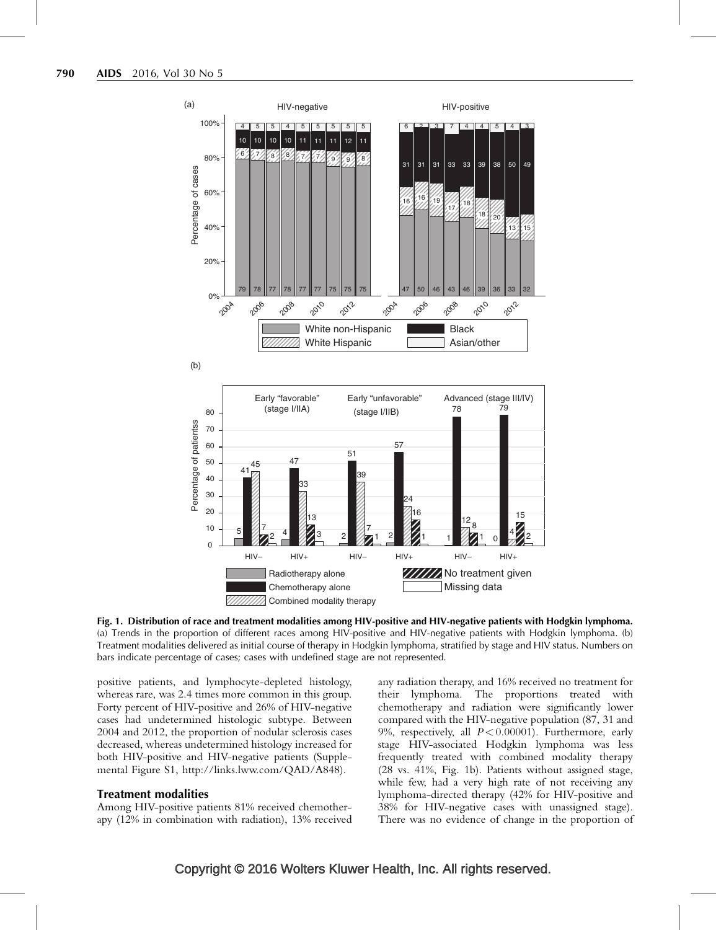<span id="page-3-0"></span>

Fig. 1. Distribution of race and treatment modalities among HIV-positive and HIV-negative patients with Hodgkin lymphoma. (a) Trends in the proportion of different races among HIV-positive and HIV-negative patients with Hodgkin lymphoma. (b) Treatment modalities delivered as initial course of therapy in Hodgkin lymphoma, stratified by stage and HIV status. Numbers on bars indicate percentage of cases; cases with undefined stage are not represented.

positive patients, and lymphocyte-depleted histology, whereas rare, was 2.4 times more common in this group. Forty percent of HIV-positive and 26% of HIV-negative cases had undetermined histologic subtype. Between 2004 and 2012, the proportion of nodular sclerosis cases decreased, whereas undetermined histology increased for both HIV-positive and HIV-negative patients (Supplemental Figure S1, [http://links.lww.com/QAD/A848\)](http://links.lww.com/QAD/A848).

#### Treatment modalities

Among HIV-positive patients 81% received chemotherapy (12% in combination with radiation), 13% received any radiation therapy, and 16% received no treatment for their lymphoma. The proportions treated with chemotherapy and radiation were significantly lower compared with the HIV-negative population (87, 31 and 9%, respectively, all  $P < 0.00001$ ). Furthermore, early stage HIV-associated Hodgkin lymphoma was less frequently treated with combined modality therapy (28 vs. 41%, Fig. 1b). Patients without assigned stage, while few, had a very high rate of not receiving any lymphoma-directed therapy (42% for HIV-positive and 38% for HIV-negative cases with unassigned stage). There was no evidence of change in the proportion of

## Copyright © 2016 Wolters Kluwer Health, Inc. All rights reserved.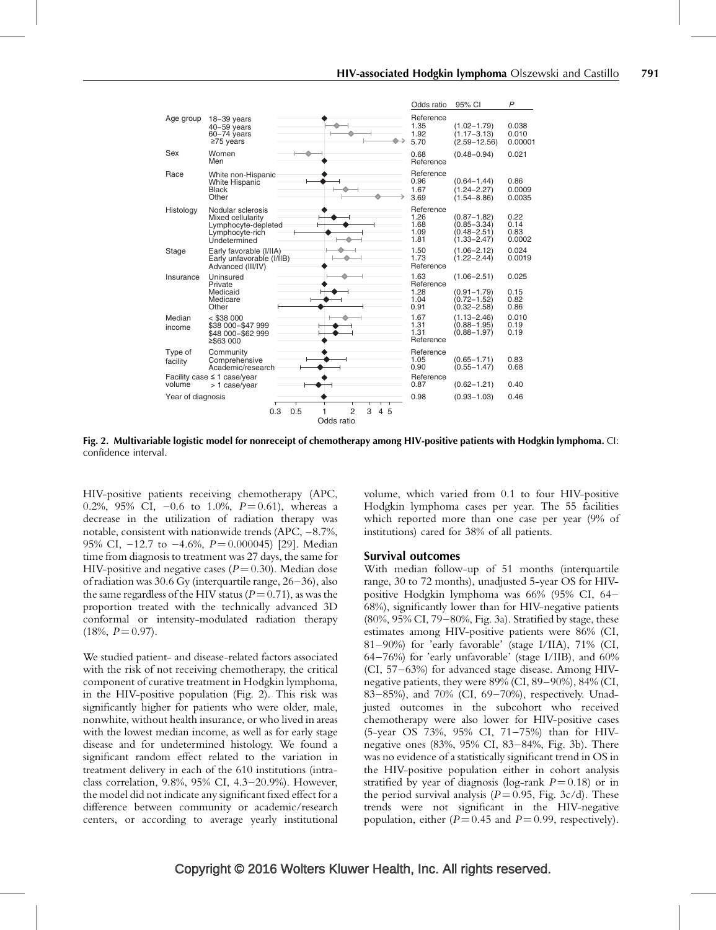|                                                                                                               | Odds ratio                                | 95% CI                                                           | $\mathsf{P}$                   |
|---------------------------------------------------------------------------------------------------------------|-------------------------------------------|------------------------------------------------------------------|--------------------------------|
| Age group<br>$18-39$ years<br>$40-59$ years<br>$60 - 74$ years<br>$\geq$ 75 years                             | Reference<br>1.35<br>1.92<br>5.70         | $(1.02 - 1.79)$<br>$(1.17 - 3.13)$<br>$(2.59 - 12.56)$           | 0.038<br>0.010<br>0.00001      |
| Sex<br>Women<br>Men                                                                                           | 0.68<br>Reference                         | $(0.48 - 0.94)$                                                  | 0.021                          |
| Race<br>White non-Hispanic<br><b>White Hispanic</b><br><b>Black</b><br>Other                                  | Reference<br>0.96<br>1.67<br>3.69         | $(0.64 - 1.44)$<br>$(1.24 - 2.27)$<br>$(1.54 - 8.86)$            | 0.86<br>0.0009<br>0.0035       |
| Nodular sclerosis<br>Histology<br>Mixed cellularity<br>Lymphocyte-depleted<br>Lymphocyte-rich<br>Undetermined | Reference<br>1.26<br>1.68<br>1.09<br>1.81 | $(0.87 - 1.82)$<br>(0.85–3.34)<br>(0.48–2.51)<br>(1.33–2.47)     | 0.22<br>0.14<br>0.83<br>0.0002 |
| Early favorable (I/IIA)<br>Stage<br>Early unfavorable (I/HB)<br>Advanced (III/IV)                             | 1.50<br>1.73<br>Reference                 | $(1.06 - 2.12)$<br>$(1.22 - 2.44)$                               | 0.024<br>0.0019                |
| Uninsured<br>Insurance<br>Private<br>Medicaid<br>Medicare<br>Other                                            | 1.63<br>Reference<br>1.28<br>1.04<br>0.91 | $(1.06 - 2.51)$<br>$(0.91 - 1.79)$<br>(0.72–1.52)<br>(0.32–2.58) | 0.025<br>0.15<br>0.82<br>0.86  |
| Median<br>$<$ \$38 000<br>\$38 000-\$47 999<br>income<br>\$48 000-\$62 999<br>≥\$63 000                       | 1.67<br>1.31<br>1.31<br>Reference         | $(1.13 - 2.46)$<br>(0.88–1.95)<br>$(0.88 - 1.97)$                | 0.010<br>0.19<br>0.19          |
| Type of<br>Community<br>Comprehensive<br>facility<br>Academic/research                                        | Reference<br>1.05<br>0.90                 | $(0.65 - 1.71)$<br>$(0.55 - 1.47)$                               | 0.83<br>0.68                   |
| Facility case $\leq$ 1 case/year<br>volume<br>> 1 case/year                                                   | Reference<br>0.87                         | $(0.62 - 1.21)$                                                  | 0.40                           |
| Year of diagnosis<br>т<br>0.3<br>0.5<br>$\overline{2}$<br>3<br>4<br>5                                         | 0.98                                      | $(0.93 - 1.03)$                                                  | 0.46                           |
| Odds ratio                                                                                                    |                                           |                                                                  |                                |

Fig. 2. Multivariable logistic model for nonreceipt of chemotherapy among HIV-positive patients with Hodgkin lymphoma. CI: confidence interval.

HIV-positive patients receiving chemotherapy (APC, 0.2%, 95% CI,  $-0.6$  to 1.0%,  $P = 0.61$ ), whereas a decrease in the utilization of radiation therapy was notable, consistent with nationwide trends (APC, –8.7%, 95% CI,  $-12.7$  to  $-4.6\%$ ,  $P = 0.000045$  [\[29\].](#page-9-0) Median time from diagnosis to treatment was 27 days, the same for HIV-positive and negative cases  $(P = 0.30)$ . Median dose of radiation was 30.6 Gy (interquartile range, 26–36), also the same regardless of the HIV status ( $P = 0.71$ ), as was the proportion treated with the technically advanced 3D conformal or intensity-modulated radiation therapy  $(18\%, P=0.97)$ .

We studied patient- and disease-related factors associated with the risk of not receiving chemotherapy, the critical component of curative treatment in Hodgkin lymphoma, in the HIV-positive population (Fig. 2). This risk was significantly higher for patients who were older, male, nonwhite, without health insurance, or who lived in areas with the lowest median income, as well as for early stage disease and for undetermined histology. We found a significant random effect related to the variation in treatment delivery in each of the 610 institutions (intraclass correlation, 9.8%, 95% CI, 4.3–20.9%). However, the model did not indicate any significant fixed effect for a difference between community or academic/research centers, or according to average yearly institutional volume, which varied from 0.1 to four HIV-positive Hodgkin lymphoma cases per year. The 55 facilities which reported more than one case per year (9% of institutions) cared for 38% of all patients.

#### Survival outcomes

With median follow-up of 51 months (interquartile range, 30 to 72 months), unadjusted 5-year OS for HIVpositive Hodgkin lymphoma was 66% (95% CI, 64– 68%), significantly lower than for HIV-negative patients (80%, 95% CI, 79–80%, [Fig. 3](#page-5-0)a). Stratified by stage, these estimates among HIV-positive patients were 86% (CI, 81–90%) for 'early favorable' (stage I/IIA), 71% (CI, 64–76%) for 'early unfavorable' (stage I/IIB), and 60% (CI, 57–63%) for advanced stage disease. Among HIVnegative patients, they were 89% (CI, 89–90%), 84% (CI, 83–85%), and 70% (CI, 69–70%), respectively. Unadjusted outcomes in the subcohort who received chemotherapy were also lower for HIV-positive cases (5-year OS 73%, 95% CI, 71–75%) than for HIVnegative ones (83%, 95% CI, 83–84%, [Fig. 3b](#page-5-0)). There was no evidence of a statistically significant trend in OS in the HIV-positive population either in cohort analysis stratified by year of diagnosis (log-rank  $P = 0.18$ ) or in the period survival analysis ( $P = 0.95$ , [Fig. 3](#page-5-0)c/d). These trends were not significant in the HIV-negative population, either ( $P = 0.45$  and  $P = 0.99$ , respectively).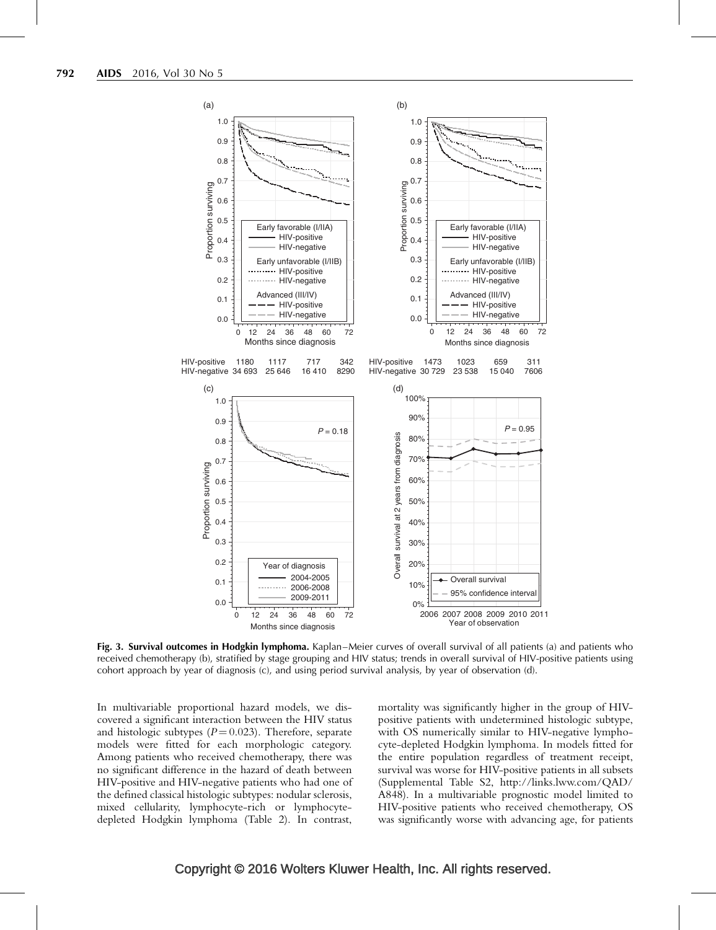<span id="page-5-0"></span>

Fig. 3. Survival outcomes in Hodgkin lymphoma. Kaplan–Meier curves of overall survival of all patients (a) and patients who received chemotherapy (b), stratified by stage grouping and HIV status; trends in overall survival of HIV-positive patients using cohort approach by year of diagnosis (c), and using period survival analysis, by year of observation (d).

In multivariable proportional hazard models, we discovered a significant interaction between the HIV status and histologic subtypes ( $P = 0.023$ ). Therefore, separate models were fitted for each morphologic category. Among patients who received chemotherapy, there was no significant difference in the hazard of death between HIV-positive and HIV-negative patients who had one of the defined classical histologic subtypes: nodular sclerosis, mixed cellularity, lymphocyte-rich or lymphocytedepleted Hodgkin lymphoma [\(Table 2\)](#page-6-0). In contrast,

mortality was significantly higher in the group of HIVpositive patients with undetermined histologic subtype, with OS numerically similar to HIV-negative lymphocyte-depleted Hodgkin lymphoma. In models fitted for the entire population regardless of treatment receipt, survival was worse for HIV-positive patients in all subsets (Supplemental Table S2, [http://links.lww.com/QAD/](http://links.lww.com/QAD/A848) [A848](http://links.lww.com/QAD/A848)). In a multivariable prognostic model limited to HIV-positive patients who received chemotherapy, OS was significantly worse with advancing age, for patients

## Copyright © 2016 Wolters Kluwer Health, Inc. All rights reserved.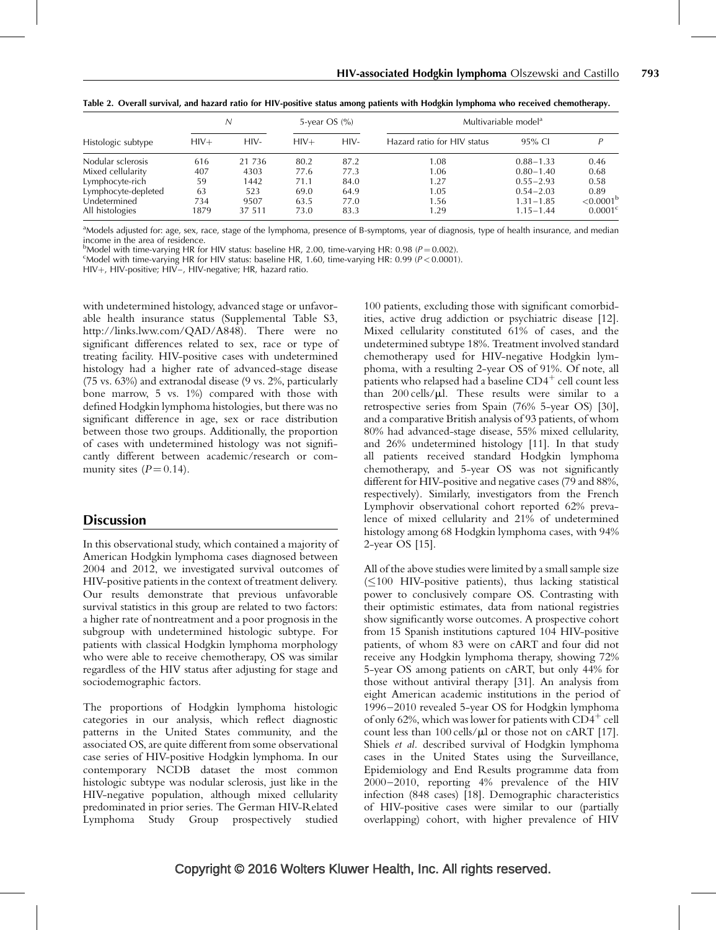|                     | Ν      |        | 5-year OS $(\% )$ |      | Multivariable model <sup>a</sup> |               |                    |  |
|---------------------|--------|--------|-------------------|------|----------------------------------|---------------|--------------------|--|
| Histologic subtype  | $HIV+$ | HIV-   | $HIV+$            | HIV- | Hazard ratio for HIV status      | 95% CI        |                    |  |
| Nodular sclerosis   | 616    | 21 736 | 80.2              | 87.2 | 1.08                             | $0.88 - 1.33$ | 0.46               |  |
| Mixed cellularity   | 407    | 4303   | 77.6              | 77.3 | 1.06                             | $0.80 - 1.40$ | 0.68               |  |
| Lymphocyte-rich     | 59     | 1442   | 71.1              | 84.0 | 1.27                             | $0.55 - 2.93$ | 0.58               |  |
| Lymphocyte-depleted | 63     | 523    | 69.0              | 64.9 | 1.05                             | $0.54 - 2.03$ | 0.89               |  |
| Undetermined        | 734    | 9507   | 63.5              | 77.0 | 1.56                             | $1.31 - 1.85$ | $< 0.0001^{\circ}$ |  |
| All histologies     | 1879   | 37 511 | 73.0              | 83.3 | 1.29                             | $1.15 - 1.44$ | $0.0001^{\circ}$   |  |

<span id="page-6-0"></span>

|  |  |  |  | Table 2. Overall survival, and hazard ratio for HIV-positive status among patients with Hodgkin lymphoma who received chemotherapy. |
|--|--|--|--|-------------------------------------------------------------------------------------------------------------------------------------|
|  |  |  |  |                                                                                                                                     |

a<br>Models adjusted for: age, sex, race, stage of the lymphoma, presence of B-symptoms, year of diagnosis, type of health insurance, and median income in the area of residence.

bModel with time-varying HR for HIV status: baseline HR, 2.00, time-varying HR: 0.98 ( $P = 0.002$ ).<br>SModel with time varying HR for HIV status: baseline HR, 1.60, time varying HR: 0.99 ( $P < 0.0001$ )

 $\epsilon$ Model with time-varying HR for HIV status: baseline HR, 1.60, time-varying HR: 0.99 ( $P < 0.0001$ ).

HIV+, HIV-positive;  $H_1V - H_2$ , HIV-negative; HR, hazard ratio.

with undetermined histology, advanced stage or unfavorable health insurance status (Supplemental Table S3, [http://links.lww.com/QAD/A848\)](http://links.lww.com/QAD/A848). There were no significant differences related to sex, race or type of treating facility. HIV-positive cases with undetermined histology had a higher rate of advanced-stage disease (75 vs. 63%) and extranodal disease (9 vs. 2%, particularly bone marrow, 5 vs. 1%) compared with those with defined Hodgkin lymphoma histologies, but there was no significant difference in age, sex or race distribution between those two groups. Additionally, the proportion of cases with undetermined histology was not significantly different between academic/research or community sites  $(P = 0.14)$ .

## **Discussion**

In this observational study, which contained a majority of American Hodgkin lymphoma cases diagnosed between 2004 and 2012, we investigated survival outcomes of HIV-positive patients in the context of treatment delivery. Our results demonstrate that previous unfavorable survival statistics in this group are related to two factors: a higher rate of nontreatment and a poor prognosis in the subgroup with undetermined histologic subtype. For patients with classical Hodgkin lymphoma morphology who were able to receive chemotherapy, OS was similar regardless of the HIV status after adjusting for stage and sociodemographic factors.

The proportions of Hodgkin lymphoma histologic categories in our analysis, which reflect diagnostic patterns in the United States community, and the associated OS, are quite different from some observational case series of HIV-positive Hodgkin lymphoma. In our contemporary NCDB dataset the most common histologic subtype was nodular sclerosis, just like in the HIV-negative population, although mixed cellularity predominated in prior series. The German HIV-Related Lymphoma Study Group prospectively studied

100 patients, excluding those with significant comorbidities, active drug addiction or psychiatric disease [\[12\]](#page-8-0). Mixed cellularity constituted 61% of cases, and the undetermined subtype 18%. Treatment involved standard chemotherapy used for HIV-negative Hodgkin lymphoma, with a resulting 2-year OS of 91%. Of note, all patients who relapsed had a baseline  $CD4^+$  cell count less than  $200$  cells/ $\mu$ l. These results were similar to a retrospective series from Spain (76% 5-year OS) [\[30\]](#page-9-0), and a comparative British analysis of 93 patients, of whom 80% had advanced-stage disease, 55% mixed cellularity, and 26% undetermined histology [\[11\]](#page-8-0). In that study all patients received standard Hodgkin lymphoma chemotherapy, and 5-year OS was not significantly different for HIV-positive and negative cases (79 and 88%, respectively). Similarly, investigators from the French Lymphovir observational cohort reported 62% prevalence of mixed cellularity and 21% of undetermined histology among 68 Hodgkin lymphoma cases, with 94% 2-year OS [\[15\]](#page-8-0).

All of the above studies were limited by a small sample size  $(\leq 100$  HIV-positive patients), thus lacking statistical power to conclusively compare OS. Contrasting with their optimistic estimates, data from national registries show significantly worse outcomes. A prospective cohort from 15 Spanish institutions captured 104 HIV-positive patients, of whom 83 were on cART and four did not receive any Hodgkin lymphoma therapy, showing 72% 5-year OS among patients on cART, but only 44% for those without antiviral therapy [\[31\].](#page-9-0) An analysis from eight American academic institutions in the period of 1996–2010 revealed 5-year OS for Hodgkin lymphoma of only 62%, which was lower for patients with  $CD4^+$  cell count less than 100 cells/ $\mu$ l or those not on cART [\[17\]](#page-8-0). Shiels et al. described survival of Hodgkin lymphoma cases in the United States using the Surveillance, Epidemiology and End Results programme data from 2000–2010, reporting 4% prevalence of the HIV infection (848 cases) [\[18\].](#page-8-0) Demographic characteristics of HIV-positive cases were similar to our (partially overlapping) cohort, with higher prevalence of HIV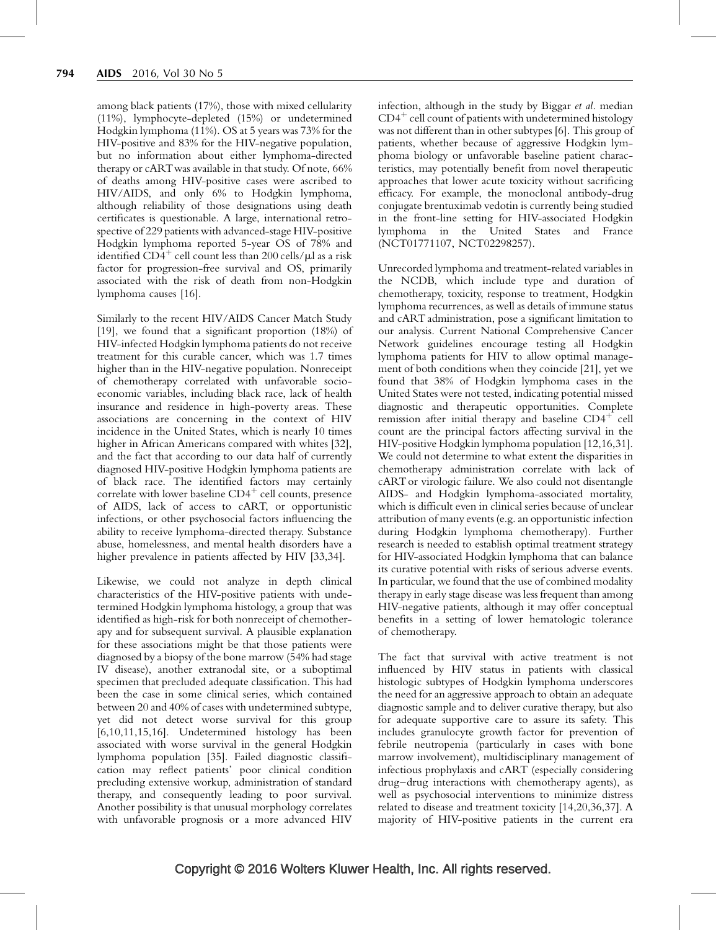among black patients (17%), those with mixed cellularity (11%), lymphocyte-depleted (15%) or undetermined Hodgkin lymphoma (11%). OS at 5 years was 73% for the HIV-positive and 83% for the HIV-negative population, but no information about either lymphoma-directed therapy or cARTwas available in that study. Of note, 66% of deaths among HIV-positive cases were ascribed to HIV/AIDS, and only 6% to Hodgkin lymphoma, although reliability of those designations using death certificates is questionable. A large, international retrospective of 229 patients with advanced-stage HIV-positive Hodgkin lymphoma reported 5-year OS of 78% and identified  $CD4^+$  cell count less than 200 cells/ $\mu$ l as a risk factor for progression-free survival and OS, primarily associated with the risk of death from non-Hodgkin lymphoma causes [\[16\]](#page-8-0).

Similarly to the recent HIV/AIDS Cancer Match Study [\[19\]](#page-8-0), we found that a significant proportion (18%) of HIV-infected Hodgkin lymphoma patients do not receive treatment for this curable cancer, which was 1.7 times higher than in the HIV-negative population. Nonreceipt of chemotherapy correlated with unfavorable socioeconomic variables, including black race, lack of health insurance and residence in high-poverty areas. These associations are concerning in the context of HIV incidence in the United States, which is nearly 10 times higher in African Americans compared with whites [\[32\]](#page-9-0), and the fact that according to our data half of currently diagnosed HIV-positive Hodgkin lymphoma patients are of black race. The identified factors may certainly correlate with lower baseline  $CD4^+$  cell counts, presence of AIDS, lack of access to cART, or opportunistic infections, or other psychosocial factors influencing the ability to receive lymphoma-directed therapy. Substance abuse, homelessness, and mental health disorders have a higher prevalence in patients affected by HIV [\[33,34\]](#page-9-0).

Likewise, we could not analyze in depth clinical characteristics of the HIV-positive patients with undetermined Hodgkin lymphoma histology, a group that was identified as high-risk for both nonreceipt of chemotherapy and for subsequent survival. A plausible explanation for these associations might be that those patients were diagnosed by a biopsy of the bone marrow (54% had stage IV disease), another extranodal site, or a suboptimal specimen that precluded adequate classification. This had been the case in some clinical series, which contained between 20 and 40% of cases with undetermined subtype, yet did not detect worse survival for this group [\[6,10,11,15,16\]](#page-8-0). Undetermined histology has been associated with worse survival in the general Hodgkin lymphoma population [\[35\].](#page-9-0) Failed diagnostic classification may reflect patients' poor clinical condition precluding extensive workup, administration of standard therapy, and consequently leading to poor survival. Another possibility is that unusual morphology correlates with unfavorable prognosis or a more advanced HIV

infection, although in the study by Biggar et al. median  $CD4^+$  cell count of patients with undetermined histology was not different than in other subtypes [\[6\].](#page-8-0) This group of patients, whether because of aggressive Hodgkin lymphoma biology or unfavorable baseline patient characteristics, may potentially benefit from novel therapeutic approaches that lower acute toxicity without sacrificing efficacy. For example, the monoclonal antibody-drug conjugate brentuximab vedotin is currently being studied in the front-line setting for HIV-associated Hodgkin lymphoma in the United States and France (NCT01771107, NCT02298257).

Unrecorded lymphoma and treatment-related variables in the NCDB, which include type and duration of chemotherapy, toxicity, response to treatment, Hodgkin lymphoma recurrences, as well as details of immune status and cART administration, pose a significant limitation to our analysis. Current National Comprehensive Cancer Network guidelines encourage testing all Hodgkin lymphoma patients for HIV to allow optimal management of both conditions when they coincide [\[21\]](#page-8-0), yet we found that 38% of Hodgkin lymphoma cases in the United States were not tested, indicating potential missed diagnostic and therapeutic opportunities. Complete remission after initial therapy and baseline  $CD4^+$  cell count are the principal factors affecting survival in the HIV-positive Hodgkin lymphoma population [\[12,16,31\]](#page-8-0). We could not determine to what extent the disparities in chemotherapy administration correlate with lack of cARTor virologic failure. We also could not disentangle AIDS- and Hodgkin lymphoma-associated mortality, which is difficult even in clinical series because of unclear attribution of many events (e.g. an opportunistic infection during Hodgkin lymphoma chemotherapy). Further research is needed to establish optimal treatment strategy for HIV-associated Hodgkin lymphoma that can balance its curative potential with risks of serious adverse events. In particular, we found that the use of combined modality therapy in early stage disease was less frequent than among HIV-negative patients, although it may offer conceptual benefits in a setting of lower hematologic tolerance of chemotherapy.

The fact that survival with active treatment is not influenced by HIV status in patients with classical histologic subtypes of Hodgkin lymphoma underscores the need for an aggressive approach to obtain an adequate diagnostic sample and to deliver curative therapy, but also for adequate supportive care to assure its safety. This includes granulocyte growth factor for prevention of febrile neutropenia (particularly in cases with bone marrow involvement), multidisciplinary management of infectious prophylaxis and cART (especially considering drug–drug interactions with chemotherapy agents), as well as psychosocial interventions to minimize distress related to disease and treatment toxicity [\[14,20,36,37\]](#page-8-0). A majority of HIV-positive patients in the current era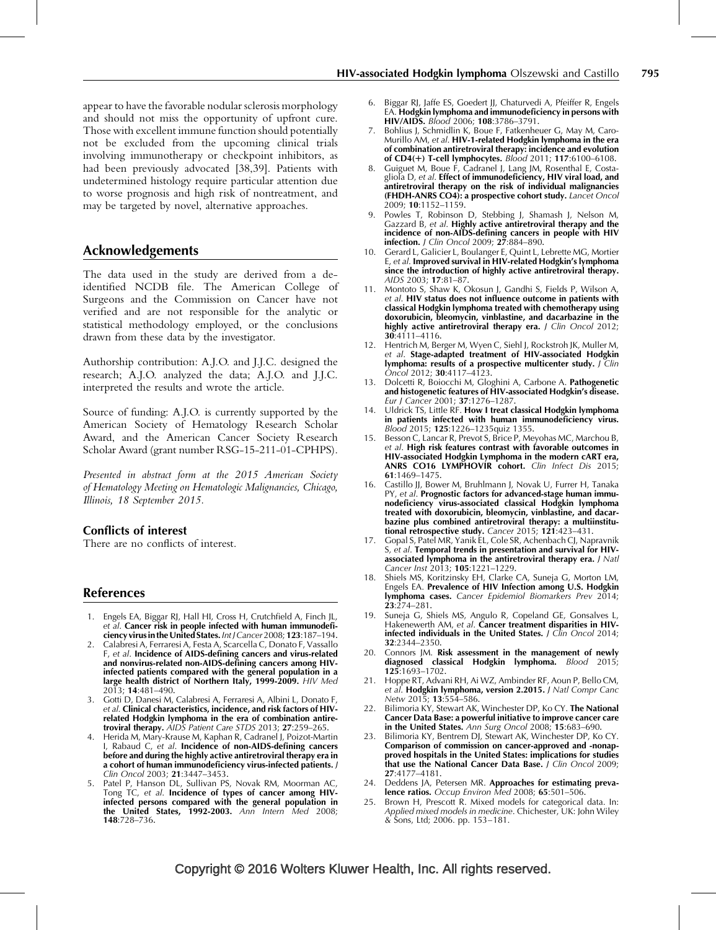<span id="page-8-0"></span>appear to have the favorable nodular sclerosis morphology and should not miss the opportunity of upfront cure. Those with excellent immune function should potentially not be excluded from the upcoming clinical trials involving immunotherapy or checkpoint inhibitors, as had been previously advocated [\[38,39\].](#page-9-0) Patients with undetermined histology require particular attention due to worse prognosis and high risk of nontreatment, and may be targeted by novel, alternative approaches.

## Acknowledgements

The data used in the study are derived from a deidentified NCDB file. The American College of Surgeons and the Commission on Cancer have not verified and are not responsible for the analytic or statistical methodology employed, or the conclusions drawn from these data by the investigator.

Authorship contribution: A.J.O. and J.J.C. designed the research; A.J.O. analyzed the data; A.J.O. and J.J.C. interpreted the results and wrote the article.

Source of funding: A.J.O. is currently supported by the American Society of Hematology Research Scholar Award, and the American Cancer Society Research Scholar Award (grant number RSG-15-211-01-CPHPS).

Presented in abstract form at the 2015 American Society of Hematology Meeting on Hematologic Malignancies, Chicago, Illinois, 18 September 2015.

#### Conflicts of interest

There are no conflicts of interest.

#### References

- Engels EA, Biggar RJ, Hall HI, Cross H, Crutchfield A, Finch IL. et al. Cancer risk in people infected with human immunodeficiency virus in the United States. Int J Cancer 2008; 123:187-194.
- 2. Calabresi A, Ferraresi A, Festa A, Scarcella C, Donato F, Vassallo F, et al. Incidence of AIDS-defining cancers and virus-related and nonvirus-related non-AIDS-defining cancers among HIVinfected patients compared with the general population in a large health district of Northern Italy, 1999-2009. HIV Med 2013; 14:481–490.
- 3. Gotti D, Danesi M, Calabresi A, Ferraresi A, Albini L, Donato F, et al. Clinical characteristics, incidence, and risk factors of HIVrelated Hodgkin lymphoma in the era of combination antiretroviral therapy. AIDS Patient Care STDS 2013; 27:259–265.
- 4. Herida M, Mary-Krause M, Kaphan R, Cadranel J, Poizot-Martin I, Rabaud C, et al. Incidence of non-AIDS-defining cancers before and during the highly active antiretroviral therapy era in a cohort of human immunodeficiency virus-infected patients. J Clin Oncol 2003; 21:3447–3453.
- 5. Patel P, Hanson DL, Sullivan PS, Novak RM, Moorman AC, Tong TC, et al. Incidence of types of cancer among HIVinfected persons compared with the general population in the United States, 1992-2003. Ann Intern Med 2008; 148:728–736.
- 6. Biggar RJ, Jaffe ES, Goedert JJ, Chaturvedi A, Pfeiffer R, Engels EA. Hodgkin lymphoma and immunodeficiency in persons with HIV/AIDS. Blood 2006; 108:3786-3791.
- 7. Bohlius J, Schmidlin K, Boue F, Fatkenheuer G, May M, Caro-Murillo AM, et al. HIV-1-related Hodgkin lymphoma in the era of combination antiretroviral therapy: incidence and evolution of CD4(+) T-cell lymphocytes. Blood 2011; 117:6100-6108.
- 8. Guiguet M, Boue F, Cadranel J, Lang JM, Rosenthal E, Costagliola D, et al. Effect of immunodeficiency, HIV viral load, and antiretroviral therapy on the risk of individual malignancies (FHDH-ANRS CO4): a prospective cohort study. Lancet Oncol 2009; 10:1152–1159.
- 9. Powles T, Robinson D, Stebbing J, Shamash J, Nelson M, Gazzard B, et al. **Highly active antiretroviral therapy and the** incidence of non-AIDS-defining cancers in people with HIV infection. *J Clin Oncol* 2009; 27:884-890.
- 10. Gerard L, Galicier L, Boulanger E, Quint L, Lebrette MG, Mortier E, et al. Improved survival in HIV-related Hodgkin's lymphoma since the introduction of highly active antiretroviral therapy. AIDS 2003; 17:81–87.
- 11. Montoto S, Shaw K, Okosun J, Gandhi S, Fields P, Wilson A, et al. HIV status does not influence outcome in patients with classical Hodgkin lymphoma treated with chemotherapy using doxorubicin, bleomycin, vinblastine, and dacarbazine in the highly active antiretroviral therapy era. J Clin Oncol 2012; 30:4111–4116.
- 12. Hentrich M, Berger M, Wyen C, Siehl J, Rockstroh JK, Muller M, et al. Stage-adapted treatment of HIV-associated Hodgkin lymphoma: results of a prospective multicenter study. J Clin Oncol 2012; 30:4117–4123.
- 13. Dolcetti R, Boiocchi M, Gloghini A, Carbone A. Pathogenetic and histogenetic features of HIV-associated Hodgkin's disease. Eur J Cancer 2001; 37:1276–1287.
- 14. Uldrick TS, Little RF. How I treat classical Hodgkin lymphoma in patients infected with human immunodeficiency virus. Blood 2015; 125:1226–1235quiz 1355.
- 15. Besson C, Lancar R, Prevot S, Brice P, Meyohas MC, Marchou B, et al. High risk features contrast with favorable outcomes in HIV-associated Hodgkin Lymphoma in the modern cART era, ANRS CO16 LYMPHOVIR cohort. Clin Infect Dis 2015; 61:1469–1475.
- 16. Castillo JJ, Bower M, Bruhlmann J, Novak U, Furrer H, Tanaka PY, et al. Prognostic factors for advanced-stage human immunodeficiency virus-associated classical Hodgkin lymphoma treated with doxorubicin, bleomycin, vinblastine, and dacarbazine plus combined antiretroviral therapy: a multiinstitutional retrospective study. Cancer 2015; 121:423-431.
- 17. Gopal S, Patel MR, Yanik EL, Cole SR, Achenbach CJ, Napravnik S, et al. Temporal trends in presentation and survival for HIVassociated lymphoma in the antiretroviral therapy era. *J Natl* Cancer Inst 2013; 105:1221–1229.
- 18. Shiels MS, Koritzinsky EH, Clarke CA, Suneja G, Morton LM, Engels EA. Prevalence of HIV Infection among U.S. Hodgkin lymphoma cases. Cancer Epidemiol Biomarkers Prev 2014; 23:274–281.
- 19. Suneja G, Shiels MS, Angulo R, Copeland GE, Gonsalves L, Hakenewerth AM, et al. Cancer treatment disparities in HIVinfected individuals in the United States. J Clin Oncol 2014; 32:2344–2350.
- 20. Connors JM. Risk assessment in the management of newly diagnosed classical Hodgkin lymphoma. Blood 2015; 125:1693–1702.
- 21. Hoppe RT, Advani RH, Ai WZ, Ambinder RF, Aoun P, Bello CM, et al. Hodgkin lymphoma, version 2.2015. J Natl Compr Canc Netw 2015; 13:554–586.
- 22. Bilimoria KY, Stewart AK, Winchester DP, Ko CY. The National Cancer Data Base: a powerful initiative to improve cancer care in the United States. Ann Surg Oncol 2008; 15:683–690.
- 23. Bilimoria KY, Bentrem DJ, Stewart AK, Winchester DP, Ko CY. Comparison of commission on cancer-approved and -nonapproved hospitals in the United States: implications for studies that use the National Cancer Data Base. / Clin Oncol 2009; 27:4177–4181.
- 24. Deddens JA, Petersen MR. Approaches for estimating prevalence ratios. Occup Environ Med 2008; 65:501-506.
- 25. Brown H, Prescott R. Mixed models for categorical data. In: Applied mixed models in medicine. Chichester, UK: John Wiley & Sons, Ltd; 2006. pp. 153–181.